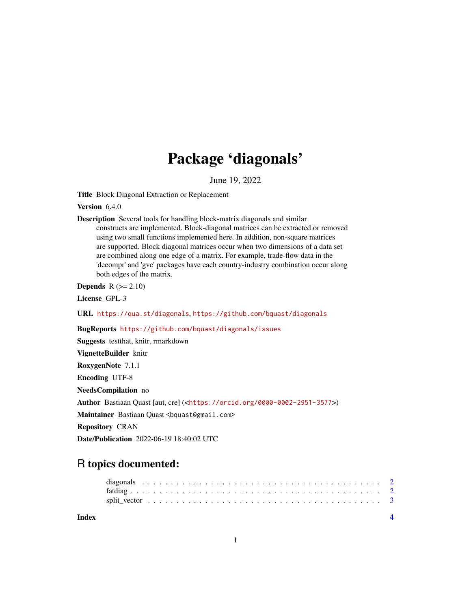## Package 'diagonals'

June 19, 2022

Title Block Diagonal Extraction or Replacement

Version 6.4.0

Description Several tools for handling block-matrix diagonals and similar constructs are implemented. Block-diagonal matrices can be extracted or removed using two small functions implemented here. In addition, non-square matrices are supported. Block diagonal matrices occur when two dimensions of a data set are combined along one edge of a matrix. For example, trade-flow data in the 'decompr' and 'gvc' packages have each country-industry combination occur along both edges of the matrix.

**Depends**  $R (= 2.10)$ 

License GPL-3

URL <https://qua.st/diagonals>, <https://github.com/bquast/diagonals>

BugReports <https://github.com/bquast/diagonals/issues>

Suggests testthat, knitr, rmarkdown VignetteBuilder knitr RoxygenNote 7.1.1 Encoding UTF-8 NeedsCompilation no Author Bastiaan Quast [aut, cre] (<<https://orcid.org/0000-0002-2951-3577>>) Maintainer Bastiaan Quast <br/>bquast@gmail.com> Repository CRAN

Date/Publication 2022-06-19 18:40:02 UTC

### R topics documented:

| Index |  |  |  |  |  |  |  |  |  |  |  |  |  |  |  |  |  |  |  |  |  |  |
|-------|--|--|--|--|--|--|--|--|--|--|--|--|--|--|--|--|--|--|--|--|--|--|
|       |  |  |  |  |  |  |  |  |  |  |  |  |  |  |  |  |  |  |  |  |  |  |
|       |  |  |  |  |  |  |  |  |  |  |  |  |  |  |  |  |  |  |  |  |  |  |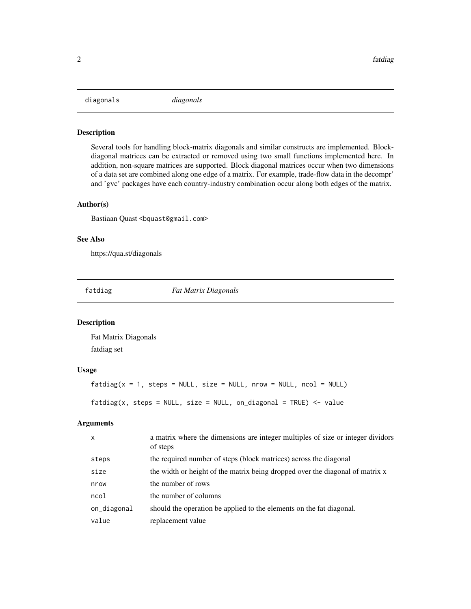<span id="page-1-0"></span>diagonals *diagonals*

#### Description

Several tools for handling block-matrix diagonals and similar constructs are implemented. Blockdiagonal matrices can be extracted or removed using two small functions implemented here. In addition, non-square matrices are supported. Block diagonal matrices occur when two dimensions of a data set are combined along one edge of a matrix. For example, trade-flow data in the decompr' and 'gvc' packages have each country-industry combination occur along both edges of the matrix.

#### Author(s)

Bastiaan Quast <br/>bquast@gmail.com>

#### See Also

https://qua.st/diagonals

fatdiag *Fat Matrix Diagonals*

#### Description

Fat Matrix Diagonals fatdiag set

#### Usage

 $fatalog(x = 1, steps = NULL, size = NULL, nrow = NULL, ncol = NULL)$ 

 $fatalog(x, steps = NULL, size = NULL, on-diagonal = TRUE) < - value$ 

#### Arguments

| $\mathsf{x}$ | a matrix where the dimensions are integer multiples of size or integer dividors<br>of steps |
|--------------|---------------------------------------------------------------------------------------------|
| steps        | the required number of steps (block matrices) across the diagonal                           |
| size         | the width or height of the matrix being dropped over the diagonal of matrix x               |
| nrow         | the number of rows                                                                          |
| ncol         | the number of columns                                                                       |
| on_diagonal  | should the operation be applied to the elements on the fat diagonal.                        |
| value        | replacement value                                                                           |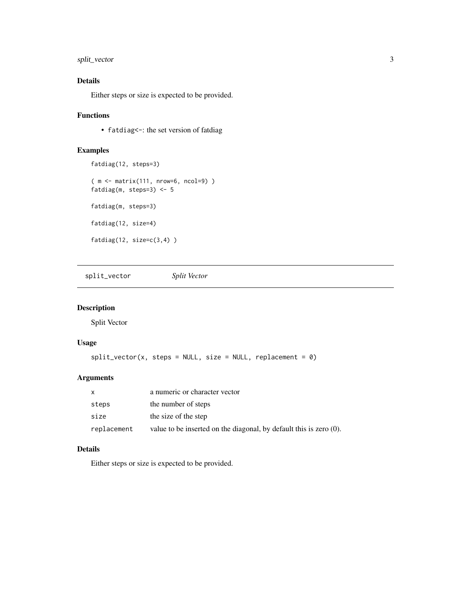#### <span id="page-2-0"></span>split\_vector 3

#### Details

Either steps or size is expected to be provided.

#### Functions

• fatdiag <-: the set version of fatdiag

#### Examples

```
fatdiag(12, steps=3)
( m <- matrix(111, nrow=6, ncol=9) )
fatdiag(m, steps=3) <- 5
fatdiag(m, steps=3)
fatdiag(12, size=4)
fatdiag(12, size=c(3,4) )
```
split\_vector *Split Vector*

#### Description

Split Vector

#### Usage

```
split\_vector(x, steps = NULL, size = NULL, replacement = 0)
```
#### Arguments

| X           | a numeric or character vector                                         |
|-------------|-----------------------------------------------------------------------|
| steps       | the number of steps                                                   |
| size        | the size of the step                                                  |
| replacement | value to be inserted on the diagonal, by default this is zero $(0)$ . |

#### Details

Either steps or size is expected to be provided.